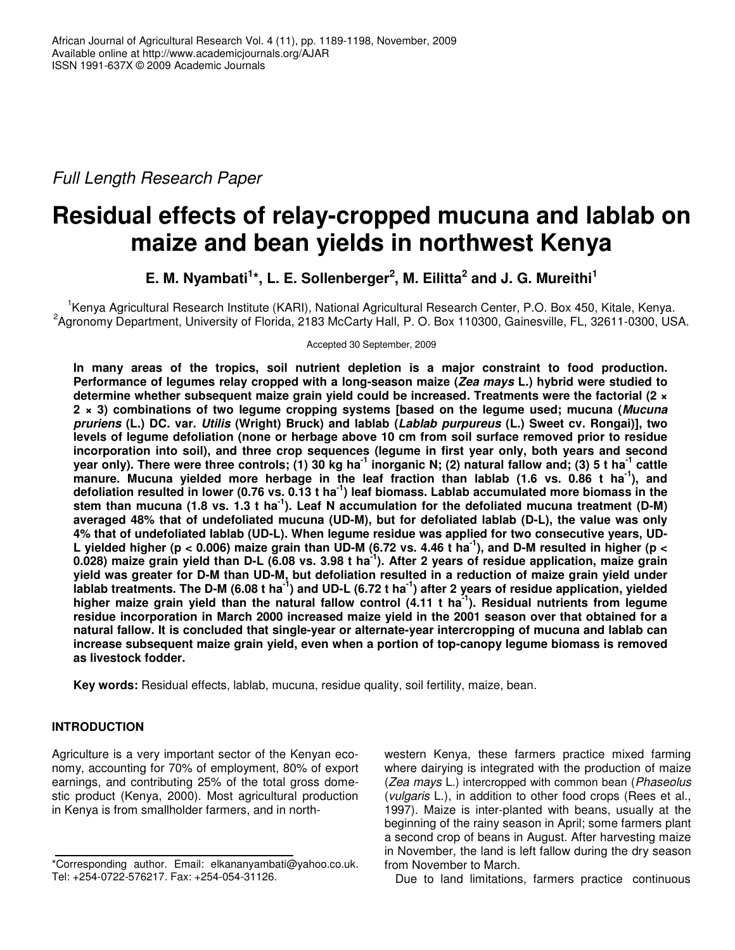*Full Length Research Paper*

# **Residual effects of relay-cropped mucuna and lablab on maize and bean yields in northwest Kenya**

**E. M. Nyambati 1 \*, L. E. Sollenberger 2 , M. Eilitta 2 and J. G. Mureithi 1**

<sup>1</sup>Kenya Agricultural Research Institute (KARI), National Agricultural Research Center, P.O. Box 450, Kitale, Kenya. <sup>2</sup>Agronomy Department, University of Florida, 2183 McCarty Hall, P. O. Box 110300, Gainesville, FL, 32611-0300, USA.

Accepted 30 September, 2009

**In many areas of the tropics, soil nutrient depletion is a major constraint to food production. Performance of legumes relay cropped with a long-season maize (***Zea mays* **L.) hybrid were studied to determine whether subsequent maize grain yield could be increased. Treatments were the factorial (2 × 2 × 3) combinations of two legume cropping systems [based on the legume used; mucuna (***Mucuna pruriens* **(L.) DC. var.** *Utilis* **(Wright) Bruck) and lablab (***Lablab purpureus* **(L.) Sweet cv. Rongai)], two levels of legume defoliation (none or herbage above 10 cm from soil surface removed prior to residue incorporation into soil), and three crop sequences (legume in first year only, both years and second** year only). There were three controls; (1) 30 kg ha<sup>-1</sup> inorganic N; (2) natural fallow and; (3) 5 t ha<sup>-1</sup> cattle manure. Mucuna yielded more herbage in the leaf fraction than lablab (1.6 vs. 0.86 t ha<sup>-1</sup>), and defoliation resulted in lower (0.76 vs. 0.13 t ha<sup>-1</sup>) leaf biomass. Lablab accumulated more biomass in the stem than mucuna (1.8 vs. 1.3 t ha<sup>-1</sup>). Leaf N accumulation for the defoliated mucuna treatment (D-M) **averaged 48% that of undefoliated mucuna (UD-M), but for defoliated lablab (D-L), the value was only 4% that of undefoliated lablab (UD-L). When legume residue was applied for two consecutive years, UD-**L yielded higher (p < 0.006) maize grain than UD-M (6.72 vs. 4.46 t ha<sup>-1</sup>), and D-M resulted in higher (p < 0.028) maize grain yield than D-L (6.08 vs. 3.98 t ha<sup>-1</sup>). After 2 years of residue application, maize grain yield was greater for D-M than UD-M, but defoliation resulted in a reduction of maize grain yield under lablab treatments. The D-M (6.08 t ha<sup>-1</sup>) and UD-L (6.72 t ha<sup>-1</sup>) after 2 years of residue application, yielded higher maize grain yield than the natural fallow control (4.11 t ha<sup>-1</sup>). Residual nutrients from legume **residue incorporation in March 2000 increased maize yield in the 2001 season over that obtained for a natural fallow. It is concluded that single-year or alternate-year intercropping of mucuna and lablab can increase subsequent maize grain yield, even when a portion of top-canopy legume biomass is removed as livestock fodder.**

**Key words:** Residual effects, lablab, mucuna, residue quality, soil fertility, maize, bean.

# **INTRODUCTION**

Agriculture is a very important sector of the Kenyan economy, accounting for 70% of employment, 80% of export earnings, and contributing 25% of the total gross domestic product (Kenya, 2000). Most agricultural production in Kenya is from smallholder farmers, and in northwestern Kenya, these farmers practice mixed farming where dairying is integrated with the production of maize (*Zea mays* L.) intercropped with common bean (*Phaseolus* (*vulgaris* L.), in addition to other food crops (Rees et al., 1997). Maize is inter-planted with beans, usually at the beginning of the rainy season in April; some farmers plant a second crop of beans in August. After harvesting maize in November, the land is left fallow during the dry season from November to March.

Due to land limitations, farmers practice continuous

<sup>\*</sup>Corresponding author. Email: elkananyambati@yahoo.co.uk. Tel: +254-0722-576217. Fax: +254-054-31126.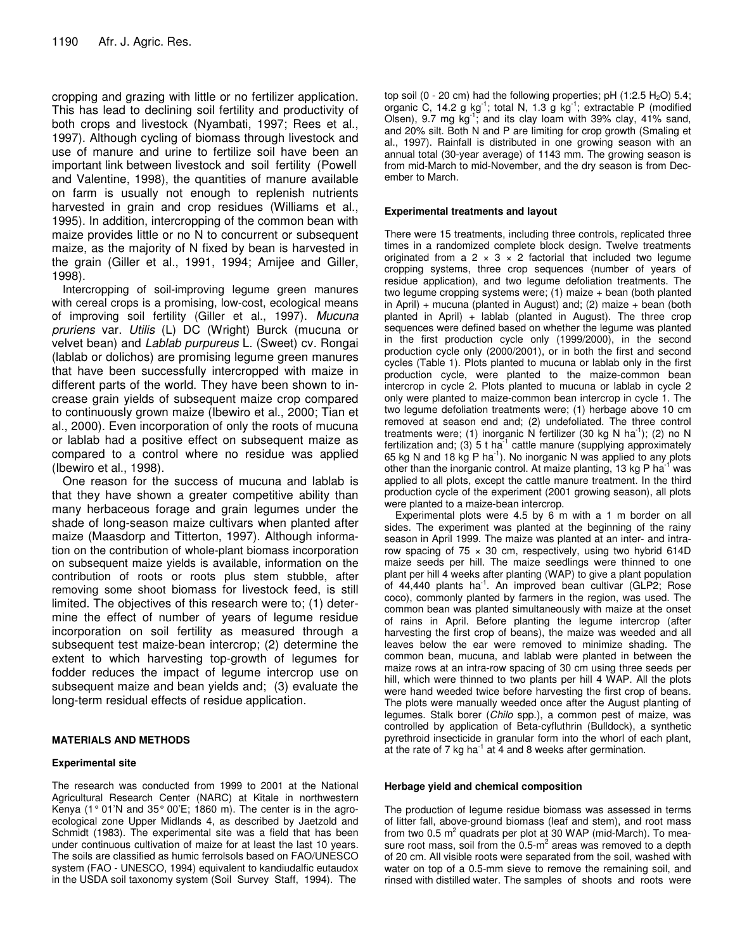cropping and grazing with little or no fertilizer application. This has lead to declining soil fertility and productivity of both crops and livestock (Nyambati, 1997; Rees et al., 1997). Although cycling of biomass through livestock and use of manure and urine to fertilize soil have been an important link between livestock and soil fertility (Powell and Valentine, 1998), the quantities of manure available on farm is usually not enough to replenish nutrients harvested in grain and crop residues (Williams et al., 1995). In addition, intercropping of the common bean with maize provides little or no N to concurrent or subsequent maize, as the majority of N fixed by bean is harvested in the grain (Giller et al., 1991, 1994; Amijee and Giller, 1998).

Intercropping of soil-improving legume green manures with cereal crops is a promising, low-cost, ecological means of improving soil fertility (Giller et al., 1997). *Mucuna pruriens* var. *Utilis* (L) DC (Wright) Burck (mucuna or velvet bean) and *Lablab purpureus* L. (Sweet) cv. Rongai (lablab or dolichos) are promising legume green manures that have been successfully intercropped with maize in different parts of the world. They have been shown to increase grain yields of subsequent maize crop compared to continuously grown maize (Ibewiro et al., 2000; Tian et al., 2000). Even incorporation of only the roots of mucuna or lablab had a positive effect on subsequent maize as compared to a control where no residue was applied (Ibewiro et al., 1998).

One reason for the success of mucuna and lablab is that they have shown a greater competitive ability than many herbaceous forage and grain legumes under the shade of long-season maize cultivars when planted after maize (Maasdorp and Titterton, 1997). Although information on the contribution of whole-plant biomass incorporation on subsequent maize yields is available, information on the contribution of roots or roots plus stem stubble, after removing some shoot biomass for livestock feed, is still limited. The objectives of this research were to; (1) determine the effect of number of years of legume residue incorporation on soil fertility as measured through a subsequent test maize-bean intercrop; (2) determine the extent to which harvesting top-growth of legumes for fodder reduces the impact of legume intercrop use on subsequent maize and bean yields and; (3) evaluate the long-term residual effects of residue application.

## **MATERIALS AND METHODS**

## **Experimental site**

The research was conducted from 1999 to 2001 at the National Agricultural Research Center (NARC) at Kitale in northwestern Kenya (1° 01'N and 35° 00'E; 1860 m). The center is in the agroecological zone Upper Midlands 4, as described by Jaetzold and Schmidt (1983). The experimental site was a field that has been under continuous cultivation of maize for at least the last 10 years. The soils are classified as humic ferrolsols based on FAO/UNESCO system (FAO - UNESCO, 1994) equivalent to kandiudalfic eutaudox in the USDA soil taxonomy system (Soil Survey Staff, 1994). The

top soil (0 - 20 cm) had the following properties; pH  $(1:2.5 H<sub>2</sub>O)$  5.4; organic C, 14.2 g  $kg^{-1}$ ; total N, 1.3 g  $kg^{-1}$ ; extractable P (modified Olsen), 9.7 mg  $kg^{-1}$ ; and its clay loam with 39% clay, 41% sand, and 20% silt. Both N and P are limiting for crop growth (Smaling et al., 1997). Rainfall is distributed in one growing season with an annual total (30-year average) of 1143 mm. The growing season is from mid-March to mid-November, and the dry season is from December to March.

#### **Experimental treatments and layout**

There were 15 treatments, including three controls, replicated three times in a randomized complete block design. Twelve treatments originated from a 2  $\times$  3  $\times$  2 factorial that included two legume cropping systems, three crop sequences (number of years of residue application), and two legume defoliation treatments. The two legume cropping systems were; (1) maize + bean (both planted in April) + mucuna (planted in August) and; (2) maize + bean (both planted in April) + lablab (planted in August). The three crop sequences were defined based on whether the legume was planted in the first production cycle only (1999/2000), in the second production cycle only (2000/2001), or in both the first and second cycles (Table 1). Plots planted to mucuna or lablab only in the first production cycle, were planted to the maize-common bean intercrop in cycle 2. Plots planted to mucuna or lablab in cycle 2 only were planted to maize-common bean intercrop in cycle 1. The two legume defoliation treatments were; (1) herbage above 10 cm removed at season end and; (2) undefoliated. The three control treatments were; (1) inorganic N fertilizer (30 kg N ha<sup>-1</sup>); (2) no N fertilization and; (3) 5 t ha<sup>-1</sup> cattle manure (supplying approximately 65 kg N and 18 kg P ha<sup>-1</sup>). No inorganic N was applied to any plots other than the inorganic control. At maize planting, 13 kg P ha<sup>-1</sup> was applied to all plots, except the cattle manure treatment. In the third production cycle of the experiment (2001 growing season), all plots were planted to a maize-bean intercrop.

Experimental plots were 4.5 by 6 m with a 1 m border on all sides. The experiment was planted at the beginning of the rainy season in April 1999. The maize was planted at an inter- and intrarow spacing of  $75 \times 30$  cm, respectively, using two hybrid 614D maize seeds per hill. The maize seedlings were thinned to one plant per hill 4 weeks after planting (WAP) to give a plant population of 44,440 plants ha<sup>-1</sup>. An improved bean cultivar (GLP2; Rose coco), commonly planted by farmers in the region, was used. The common bean was planted simultaneously with maize at the onset of rains in April. Before planting the legume intercrop (after harvesting the first crop of beans), the maize was weeded and all leaves below the ear were removed to minimize shading. The common bean, mucuna, and lablab were planted in between the maize rows at an intra-row spacing of 30 cm using three seeds per hill, which were thinned to two plants per hill 4 WAP. All the plots were hand weeded twice before harvesting the first crop of beans. The plots were manually weeded once after the August planting of legumes. Stalk borer (*Chilo* spp.), a common pest of maize, was controlled by application of Beta-cyfluthrin (Bulldock), a synthetic pyrethroid insecticide in granular form into the whorl of each plant, at the rate of 7 kg ha $^{-1}$  at 4 and 8 weeks after germination.

#### **Herbage yield and chemical composition**

The production of legume residue biomass was assessed in terms of litter fall, above-ground biomass (leaf and stem), and root mass from two 0.5 m<sup>2</sup> quadrats per plot at 30 WAP (mid-March). To measure root mass, soil from the  $0.5 \text{-} m^2$  areas was removed to a depth of 20 cm. All visible roots were separated from the soil, washed with water on top of a 0.5-mm sieve to remove the remaining soil, and rinsed with distilled water. The samples of shoots and roots were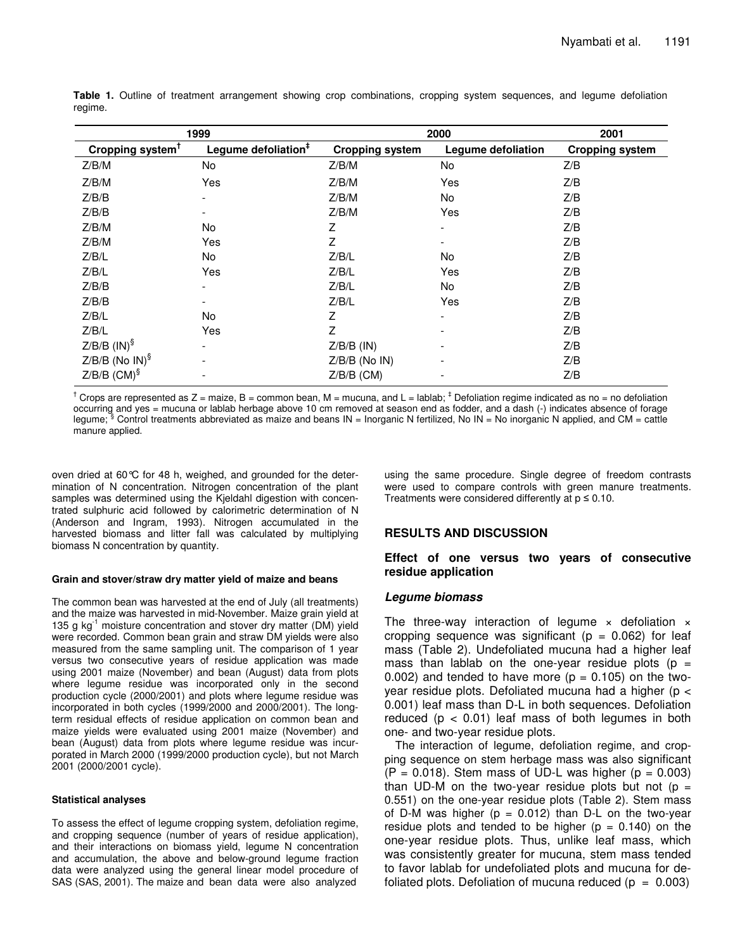| 1999                         |                                 | 2000                   | 2001                     |                        |
|------------------------------|---------------------------------|------------------------|--------------------------|------------------------|
| Cropping system <sup>T</sup> | Legume defoliation <sup>#</sup> | <b>Cropping system</b> | Legume defoliation       | <b>Cropping system</b> |
| Z/B/M                        | No                              | Z/B/M                  | No                       | Z/B                    |
| Z/B/M                        | Yes                             | Z/B/M                  | Yes                      | Z/B                    |
| Z/B/B                        | $\overline{\phantom{a}}$        | Z/B/M                  | No                       | Z/B                    |
| Z/B/B                        | $\overline{\phantom{a}}$        | Z/B/M                  | Yes                      | Z/B                    |
| Z/B/M                        | No                              | Z                      | $\overline{\phantom{a}}$ | Z/B                    |
| Z/B/M                        | Yes                             | Z                      | -                        | Z/B                    |
| Z/B/L                        | No                              | Z/B/L                  | No                       | Z/B                    |
| Z/B/L                        | Yes                             | Z/B/L                  | Yes                      | Z/B                    |
| Z/B/B                        | $\overline{\phantom{a}}$        | Z/B/L                  | No                       | Z/B                    |
| Z/B/B                        | $\overline{\phantom{a}}$        | Z/B/L                  | Yes                      | Z/B                    |
| Z/B/L                        | No                              | Z                      | -                        | Z/B                    |
| Z/B/L                        | Yes                             | Z                      | ۰                        | Z/B                    |
| $Z/B/B$ (IN) <sup>§</sup>    | $\overline{\phantom{a}}$        | $Z/B/B$ (IN)           | -                        | Z/B                    |
| $Z/B/B$ (No IN) <sup>§</sup> | $\overline{\phantom{a}}$        | $Z/B/B$ (No IN)        | -                        | Z/B                    |
| $Z/B/B$ (CM) <sup>§</sup>    | $\overline{\phantom{a}}$        | $Z/B/B$ (CM)           | ٠                        | Z/B                    |

**Table 1.** Outline of treatment arrangement showing crop combinations, cropping system sequences, and legume defoliation regime.

 $^\dagger$  Crops are represented as Z = maize, B = common bean, M = mucuna, and L = lablab;  $^\ddagger$  Defoliation regime indicated as no = no defoliation occurring and yes = mucuna or lablab herbage above 10 cm removed at season end as fodder, and a dash (-) indicates absence of forage legume; § Control treatments abbreviated as maize and beans IN = Inorganic N fertilized, No IN = No inorganic N applied, and CM = cattle manure applied.

oven dried at 60°C for 48 h, weighed, and grounded for the determination of N concentration. Nitrogen concentration of the plant samples was determined using the Kjeldahl digestion with concentrated sulphuric acid followed by calorimetric determination of N (Anderson and Ingram, 1993). Nitrogen accumulated in the harvested biomass and litter fall was calculated by multiplying biomass N concentration by quantity.

#### **Grain and stover/straw dry matter yield of maize and beans**

The common bean was harvested at the end of July (all treatments) and the maize was harvested in mid-November. Maize grain yield at 135 g kg<sup>-1</sup> moisture concentration and stover dry matter (DM) yield were recorded. Common bean grain and straw DM yields were also measured from the same sampling unit. The comparison of 1 year versus two consecutive years of residue application was made using 2001 maize (November) and bean (August) data from plots where legume residue was incorporated only in the second production cycle (2000/2001) and plots where legume residue was incorporated in both cycles (1999/2000 and 2000/2001). The longterm residual effects of residue application on common bean and maize yields were evaluated using 2001 maize (November) and bean (August) data from plots where legume residue was incurporated in March 2000 (1999/2000 production cycle), but not March 2001 (2000/2001 cycle).

#### **Statistical analyses**

To assess the effect of legume cropping system, defoliation regime, and cropping sequence (number of years of residue application), and their interactions on biomass yield, legume N concentration and accumulation, the above and below-ground legume fraction data were analyzed using the general linear model procedure of SAS (SAS, 2001). The maize and bean data were also analyzed

using the same procedure. Single degree of freedom contrasts were used to compare controls with green manure treatments. Treatments were considered differently at  $p \le 0.10$ .

## **RESULTS AND DISCUSSION**

## **Effect of one versus two years of consecutive residue application**

## *Legume biomass*

The three-way interaction of legume  $\times$  defoliation  $\times$ cropping sequence was significant ( $p = 0.062$ ) for leaf mass (Table 2). Undefoliated mucuna had a higher leaf mass than lablab on the one-year residue plots ( $p =$ 0.002) and tended to have more  $(p = 0.105)$  on the twoyear residue plots. Defoliated mucuna had a higher ( $p <$ 0.001) leaf mass than D-L in both sequences. Defoliation reduced ( $p < 0.01$ ) leaf mass of both legumes in both one- and two-year residue plots.

The interaction of legume, defoliation regime, and cropping sequence on stem herbage mass was also significant  $(P = 0.018)$ . Stem mass of UD-L was higher ( $p = 0.003$ ) than UD-M on the two-year residue plots but not ( $p =$ 0.551) on the one-year residue plots (Table 2). Stem mass of D-M was higher ( $p = 0.012$ ) than D-L on the two-year residue plots and tended to be higher ( $p = 0.140$ ) on the one-year residue plots. Thus, unlike leaf mass, which was consistently greater for mucuna, stem mass tended to favor lablab for undefoliated plots and mucuna for defoliated plots. Defoliation of mucuna reduced ( $p = 0.003$ )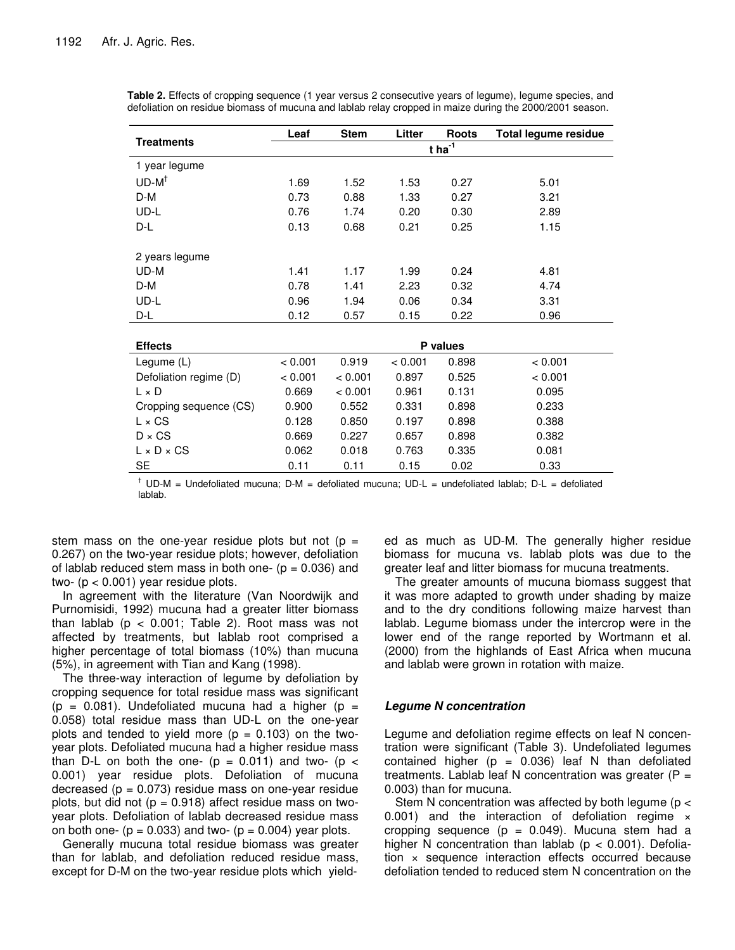|                        | Leaf                 | <b>Stem</b> | Litter  | <b>Roots</b> | <b>Total legume residue</b> |  |
|------------------------|----------------------|-------------|---------|--------------|-----------------------------|--|
| <b>Treatments</b>      | $t$ ha <sup>-1</sup> |             |         |              |                             |  |
| 1 year legume          |                      |             |         |              |                             |  |
| $UD-M^{\dagger}$       | 1.69                 | 1.52        | 1.53    | 0.27         | 5.01                        |  |
| D-M                    | 0.73                 | 0.88        | 1.33    | 0.27         | 3.21                        |  |
| UD-L                   | 0.76                 | 1.74        | 0.20    | 0.30         | 2.89                        |  |
| D-L                    | 0.13                 | 0.68        | 0.21    | 0.25         | 1.15                        |  |
|                        |                      |             |         |              |                             |  |
| 2 years legume         |                      |             |         |              |                             |  |
| UD-M                   | 1.41                 | 1.17        | 1.99    | 0.24         | 4.81                        |  |
| D-M                    | 0.78                 | 1.41        | 2.23    | 0.32         | 4.74                        |  |
| UD-L                   | 0.96                 | 1.94        | 0.06    | 0.34         | 3.31                        |  |
| D-L                    | 0.12                 | 0.57        | 0.15    | 0.22         | 0.96                        |  |
|                        |                      |             |         |              |                             |  |
| <b>Effects</b>         |                      |             |         | P values     |                             |  |
| Legume (L)             | < 0.001              | 0.919       | < 0.001 | 0.898        | < 0.001                     |  |
| Defoliation regime (D) | < 0.001              | < 0.001     | 0.897   | 0.525        | < 0.001                     |  |
| $L \times D$           | 0.669                | < 0.001     | 0.961   | 0.131        | 0.095                       |  |
| Cropping sequence (CS) | 0.900                | 0.552       | 0.331   | 0.898        | 0.233                       |  |
| $L \times CS$          | 0.128                | 0.850       | 0.197   | 0.898        | 0.388                       |  |
| $D \times CS$          | 0.669                | 0.227       | 0.657   | 0.898        | 0.382                       |  |
| $L \times D \times CS$ | 0.062                | 0.018       | 0.763   | 0.335        | 0.081                       |  |
| <b>SE</b>              | 0.11                 | 0.11        | 0.15    | 0.02         | 0.33                        |  |

**Table 2.** Effects of cropping sequence (1 year versus 2 consecutive years of legume), legume species, and defoliation on residue biomass of mucuna and lablab relay cropped in maize during the 2000/2001 season.

 $\dagger$  UD-M = Undefoliated mucuna; D-M = defoliated mucuna; UD-L = undefoliated lablab; D-L = defoliated lablab.

stem mass on the one-year residue plots but not ( $p =$ 0.267) on the two-year residue plots; however, defoliation of lablab reduced stem mass in both one-  $(p = 0.036)$  and two- (p < 0.001) year residue plots.

In agreement with the literature (Van Noordwijk and Purnomisidi, 1992) mucuna had a greater litter biomass than lablab ( $p < 0.001$ ; Table 2). Root mass was not affected by treatments, but lablab root comprised a higher percentage of total biomass (10%) than mucuna (5%), in agreement with Tian and Kang (1998).

The three-way interaction of legume by defoliation by cropping sequence for total residue mass was significant  $(p = 0.081)$ . Undefoliated mucuna had a higher  $(p = 1.081)$ 0.058) total residue mass than UD-L on the one-year plots and tended to yield more  $(p = 0.103)$  on the twoyear plots. Defoliated mucuna had a higher residue mass than D-L on both the one-  $(p = 0.011)$  and two-  $(p <$ 0.001) year residue plots. Defoliation of mucuna decreased ( $p = 0.073$ ) residue mass on one-year residue plots, but did not ( $p = 0.918$ ) affect residue mass on twoyear plots. Defoliation of lablab decreased residue mass on both one-  $(p = 0.033)$  and two-  $(p = 0.004)$  year plots.

Generally mucuna total residue biomass was greater than for lablab, and defoliation reduced residue mass, except for D-M on the two-year residue plots which yield-

ed as much as UD-M. The generally higher residue biomass for mucuna vs. lablab plots was due to the greater leaf and litter biomass for mucuna treatments.

The greater amounts of mucuna biomass suggest that it was more adapted to growth under shading by maize and to the dry conditions following maize harvest than lablab. Legume biomass under the intercrop were in the lower end of the range reported by Wortmann et al. (2000) from the highlands of East Africa when mucuna and lablab were grown in rotation with maize.

# *Legume N concentration*

Legume and defoliation regime effects on leaf N concentration were significant (Table 3). Undefoliated legumes contained higher ( $p = 0.036$ ) leaf N than defoliated treatments. Lablab leaf N concentration was greater  $(P =$ 0.003) than for mucuna.

Stem N concentration was affected by both legume (p < 0.001) and the interaction of defoliation regime  $\times$ cropping sequence  $(p = 0.049)$ . Mucuna stem had a higher N concentration than lablab ( $p < 0.001$ ). Defoliation × sequence interaction effects occurred because defoliation tended to reduced stem N concentration on the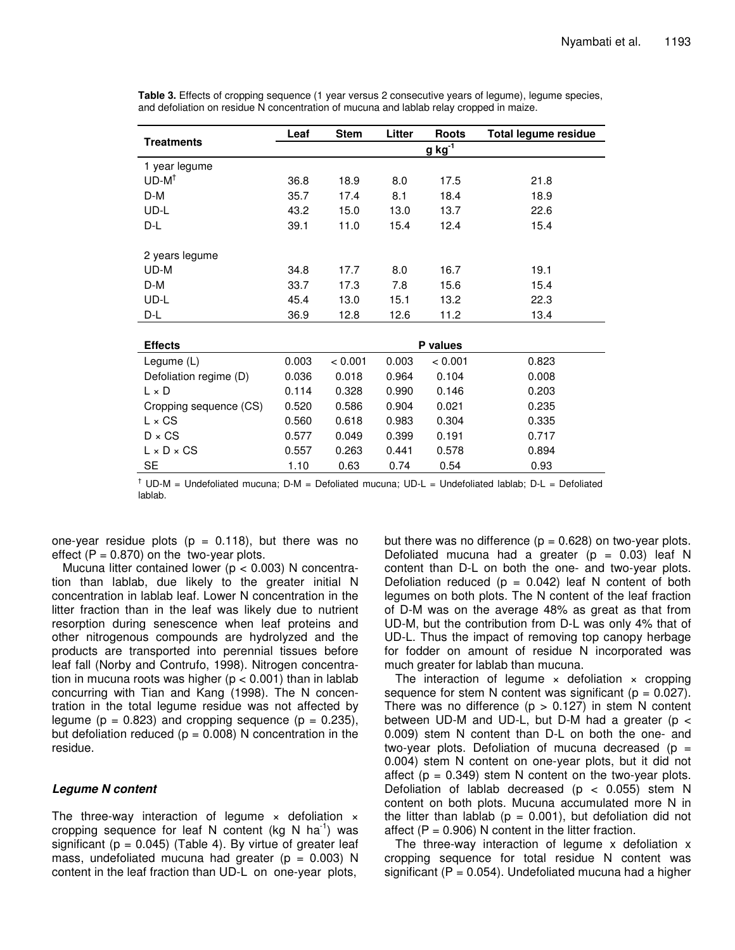|                            | Leaf        | <b>Stem</b> | Litter | <b>Roots</b> | <b>Total legume residue</b> |  |
|----------------------------|-------------|-------------|--------|--------------|-----------------------------|--|
| <b>Treatments</b>          | $g kg^{-1}$ |             |        |              |                             |  |
| 1 year legume              |             |             |        |              |                             |  |
| $UD-M^{\dagger}$           | 36.8        | 18.9        | 8.0    | 17.5         | 21.8                        |  |
| D-M                        | 35.7        | 17.4        | 8.1    | 18.4         | 18.9                        |  |
| UD-L                       | 43.2        | 15.0        | 13.0   | 13.7         | 22.6                        |  |
| D-L                        | 39.1        | 11.0        | 15.4   | 12.4         | 15.4                        |  |
| 2 years legume             |             |             |        |              |                             |  |
| UD-M                       | 34.8        | 17.7        | 8.0    | 16.7         | 19.1                        |  |
| D-M                        | 33.7        | 17.3        | 7.8    | 15.6         | 15.4                        |  |
| UD-L                       | 45.4        | 13.0        | 15.1   | 13.2         | 22.3                        |  |
| D-L                        | 36.9        | 12.8        | 12.6   | 11.2         | 13.4                        |  |
|                            |             |             |        |              |                             |  |
| P values<br><b>Effects</b> |             |             |        |              |                             |  |
| Legume (L)                 | 0.003       | < 0.001     | 0.003  | < 0.001      | 0.823                       |  |
| Defoliation regime (D)     | 0.036       | 0.018       | 0.964  | 0.104        | 0.008                       |  |
| $L \times D$               | 0.114       | 0.328       | 0.990  | 0.146        | 0.203                       |  |
| Cropping sequence (CS)     | 0.520       | 0.586       | 0.904  | 0.021        | 0.235                       |  |
| $L \times CS$              | 0.560       | 0.618       | 0.983  | 0.304        | 0.335                       |  |
| $D \times CS$              | 0.577       | 0.049       | 0.399  | 0.191        | 0.717                       |  |
| $L \times D \times CS$     | 0.557       | 0.263       | 0.441  | 0.578        | 0.894                       |  |
| SE                         | 1.10        | 0.63        | 0.74   | 0.54         | 0.93                        |  |

**Table 3.** Effects of cropping sequence (1 year versus 2 consecutive years of legume), legume species, and defoliation on residue N concentration of mucuna and lablab relay cropped in maize.

 $<sup>†</sup>$  UD-M = Undefoliated mucuna; D-M = Defoliated mucuna; UD-L = Undefoliated lablab; D-L = Defoliated</sup> lablab.

one-year residue plots ( $p = 0.118$ ), but there was no effect  $(P = 0.870)$  on the two-year plots.

Mucuna litter contained lower ( $p < 0.003$ ) N concentration than lablab, due likely to the greater initial N concentration in lablab leaf. Lower N concentration in the litter fraction than in the leaf was likely due to nutrient resorption during senescence when leaf proteins and other nitrogenous compounds are hydrolyzed and the products are transported into perennial tissues before leaf fall (Norby and Contrufo, 1998). Nitrogen concentration in mucuna roots was higher ( $p < 0.001$ ) than in lablab concurring with Tian and Kang (1998). The N concentration in the total legume residue was not affected by legume ( $p = 0.823$ ) and cropping sequence ( $p = 0.235$ ), but defoliation reduced ( $p = 0.008$ ) N concentration in the residue.

# *Legume N content*

The three-way interaction of legume  $\times$  defoliation  $\times$ cropping sequence for leaf N content (kg N ha<sup>-1</sup>) was significant ( $p = 0.045$ ) (Table 4). By virtue of greater leaf mass, undefoliated mucuna had greater ( $p = 0.003$ ) N content in the leaf fraction than UD-L on one-year plots,

but there was no difference ( $p = 0.628$ ) on two-year plots. Defoliated mucuna had a greater ( $p = 0.03$ ) leaf N content than D-L on both the one- and two-year plots. Defoliation reduced ( $p = 0.042$ ) leaf N content of both legumes on both plots. The N content of the leaf fraction of D-M was on the average 48% as great as that from UD-M, but the contribution from D-L was only 4% that of UD-L. Thus the impact of removing top canopy herbage for fodder on amount of residue N incorporated was much greater for lablab than mucuna.

The interaction of legume  $\times$  defoliation  $\times$  cropping sequence for stem N content was significant ( $p = 0.027$ ). There was no difference  $(p > 0.127)$  in stem N content between UD-M and UD-L, but D-M had a greater ( $p <$ 0.009) stem N content than D-L on both the one- and two-year plots. Defoliation of mucuna decreased ( $p =$ 0.004) stem N content on one-year plots, but it did not affect  $(p = 0.349)$  stem N content on the two-year plots. Defoliation of lablab decreased ( $p < 0.055$ ) stem N content on both plots. Mucuna accumulated more N in the litter than lablab ( $p = 0.001$ ), but defoliation did not affect  $(P = 0.906)$  N content in the litter fraction.

The three-way interaction of legume x defoliation x cropping sequence for total residue N content was significant ( $P = 0.054$ ). Undefoliated mucuna had a higher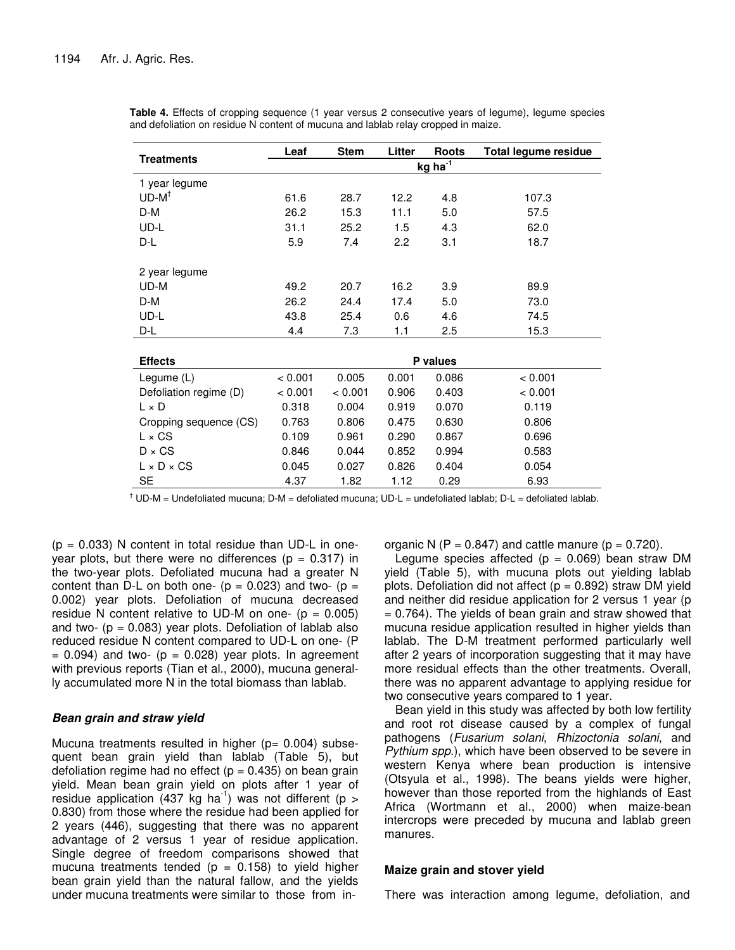|                        | Leaf                | <b>Stem</b> | Litter | <b>Roots</b> | <b>Total legume residue</b> |
|------------------------|---------------------|-------------|--------|--------------|-----------------------------|
| <b>Treatments</b>      | kg ha <sup>-1</sup> |             |        |              |                             |
| 1 year legume          |                     |             |        |              |                             |
| $UD-M^{\dagger}$       | 61.6                | 28.7        | 12.2   | 4.8          | 107.3                       |
| D-M                    | 26.2                | 15.3        | 11.1   | 5.0          | 57.5                        |
| UD-L                   | 31.1                | 25.2        | 1.5    | 4.3          | 62.0                        |
| D-L                    | 5.9                 | 7.4         | 2.2    | 3.1          | 18.7                        |
| 2 year legume          |                     |             |        |              |                             |
| UD-M                   | 49.2                | 20.7        | 16.2   | 3.9          | 89.9                        |
| D-M                    | 26.2                | 24.4        | 17.4   | 5.0          | 73.0                        |
| UD-L                   | 43.8                | 25.4        | 0.6    | 4.6          | 74.5                        |
| D-L                    | 4.4                 | 7.3         | 1.1    | 2.5          | 15.3                        |
|                        |                     |             |        |              |                             |
| <b>Effects</b>         |                     | P values    |        |              |                             |
| Legume (L)             | < 0.001             | 0.005       | 0.001  | 0.086        | < 0.001                     |
| Defoliation regime (D) | < 0.001             | < 0.001     | 0.906  | 0.403        | < 0.001                     |
| $L \times D$           | 0.318               | 0.004       | 0.919  | 0.070        | 0.119                       |
| Cropping sequence (CS) | 0.763               | 0.806       | 0.475  | 0.630        | 0.806                       |
| $L \times CS$          | 0.109               | 0.961       | 0.290  | 0.867        | 0.696                       |
| $D \times CS$          | 0.846               | 0.044       | 0.852  | 0.994        | 0.583                       |
| $L \times D \times CS$ | 0.045               | 0.027       | 0.826  | 0.404        | 0.054                       |
| SE                     | 4.37                | 1.82        | 1.12   | 0.29         | 6.93                        |

**Table 4.** Effects of cropping sequence (1 year versus 2 consecutive years of legume), legume species and defoliation on residue N content of mucuna and lablab relay cropped in maize.

 $\dagger$  UD-M = Undefoliated mucuna; D-M = defoliated mucuna; UD-L = undefoliated lablab; D-L = defoliated lablab.

 $(p = 0.033)$  N content in total residue than UD-L in oneyear plots, but there were no differences ( $p = 0.317$ ) in the two-year plots. Defoliated mucuna had a greater N content than D-L on both one-  $(p = 0.023)$  and two-  $(p =$ 0.002) year plots. Defoliation of mucuna decreased residue N content relative to UD-M on one-  $(p = 0.005)$ and two-  $(p = 0.083)$  year plots. Defoliation of lablab also reduced residue N content compared to UD-L on one- (P  $= 0.094$ ) and two- ( $p = 0.028$ ) year plots. In agreement with previous reports (Tian et al., 2000), mucuna generally accumulated more N in the total biomass than lablab.

## *Bean grain and straw yield*

Mucuna treatments resulted in higher ( $p = 0.004$ ) subsequent bean grain yield than lablab (Table 5), but defoliation regime had no effect ( $p = 0.435$ ) on bean grain yield. Mean bean grain yield on plots after 1 year of residue application (437 kg ha<sup>-1</sup>) was not different (p > 0.830) from those where the residue had been applied for 2 years (446), suggesting that there was no apparent advantage of 2 versus 1 year of residue application. Single degree of freedom comparisons showed that mucuna treatments tended ( $p = 0.158$ ) to yield higher bean grain yield than the natural fallow, and the yields under mucuna treatments were similar to those from inorganic N (P = 0.847) and cattle manure ( $p = 0.720$ ).

Legume species affected ( $p = 0.069$ ) bean straw DM yield (Table 5), with mucuna plots out yielding lablab plots. Defoliation did not affect ( $p = 0.892$ ) straw DM yield and neither did residue application for 2 versus 1 year (p = 0.764). The yields of bean grain and straw showed that mucuna residue application resulted in higher yields than lablab. The D-M treatment performed particularly well after 2 years of incorporation suggesting that it may have more residual effects than the other treatments. Overall, there was no apparent advantage to applying residue for two consecutive years compared to 1 year.

Bean yield in this study was affected by both low fertility and root rot disease caused by a complex of fungal pathogens (*Fusarium solani*, *Rhizoctonia solani*, and *Pythium spp.*), which have been observed to be severe in western Kenya where bean production is intensive (Otsyula et al., 1998). The beans yields were higher, however than those reported from the highlands of East Africa (Wortmann et al., 2000) when maize-bean intercrops were preceded by mucuna and lablab green manures.

## **Maize grain and stover yield**

There was interaction among legume, defoliation, and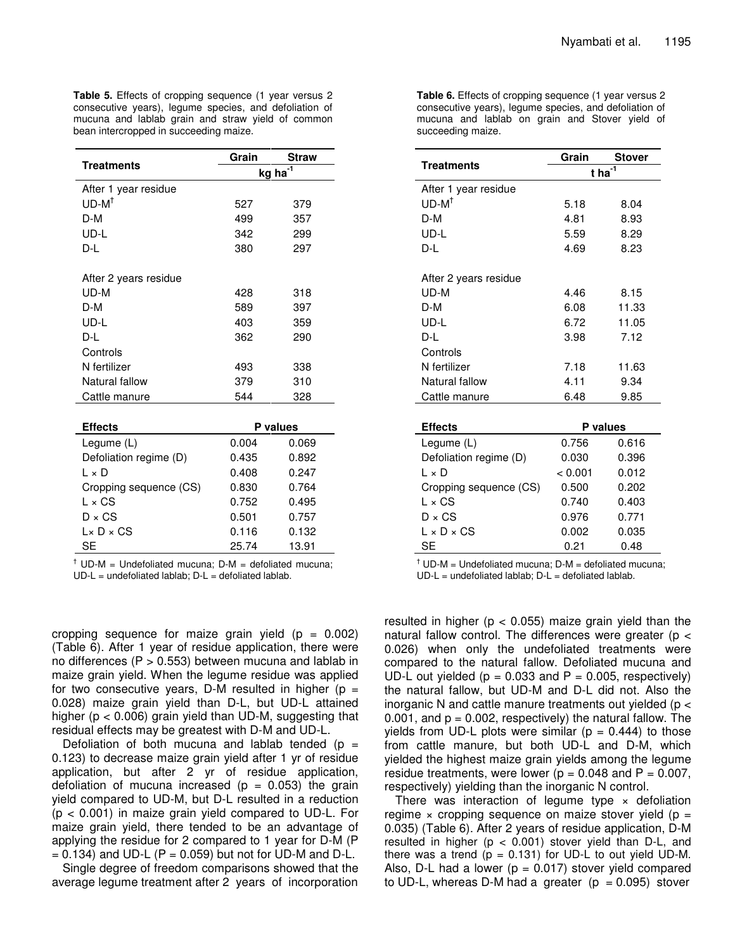**Table 5.** Effects of cropping sequence (1 year versus 2 consecutive years), legume species, and defoliation of mucuna and lablab grain and straw yield of common bean intercropped in succeeding maize.

|                        | Grain    | <b>Straw</b> |  |  |
|------------------------|----------|--------------|--|--|
| <b>Treatments</b>      | kg ha    |              |  |  |
| After 1 year residue   |          |              |  |  |
| $UD-M^{\dagger}$       | 527      | 379          |  |  |
| D-M                    | 499      | 357          |  |  |
| UD-L                   | 342      | 299          |  |  |
| D-L                    | 380      | 297          |  |  |
| After 2 years residue  |          |              |  |  |
| UD-M                   | 428      | 318          |  |  |
| D-M                    | 589      | 397          |  |  |
| UD-L                   | 403      | 359          |  |  |
| D-L                    | 362      | 290          |  |  |
| Controls               |          |              |  |  |
| N fertilizer           | 493      | 338          |  |  |
| Natural fallow         | 379      | 310          |  |  |
| Cattle manure          | 544      | 328          |  |  |
|                        |          |              |  |  |
| <b>Effects</b>         | P values |              |  |  |
| Legume (L)             | 0.004    | 0.069        |  |  |
| Defoliation regime (D) | 0.435    | 0.892        |  |  |
| l × D                  | 0.408    | 0.247        |  |  |
| Cropping sequence (CS) | 0.830    | 0.764        |  |  |
| $L \times CS$          | 0.752    | 0.495        |  |  |
| $D \times CS$          | 0.501    | 0.757        |  |  |
| $L \times D \times CS$ | 0.116    | 0.132        |  |  |
| SE                     | 25.74    | 13.91        |  |  |

 $<sup>†</sup>$  UD-M = Undefoliated mucuna: D-M = defoliated mucuna:</sup>  $UD-L =$  undefoliated lablab;  $D-L =$  defoliated lablab.

cropping sequence for maize grain yield  $(p = 0.002)$ (Table 6). After 1 year of residue application, there were no differences ( $P > 0.553$ ) between mucuna and lablab in maize grain yield. When the legume residue was applied for two consecutive years, D-M resulted in higher ( $p =$ 0.028) maize grain yield than D-L, but UD-L attained higher (p < 0.006) grain yield than UD-M, suggesting that residual effects may be greatest with D-M and UD-L.

Defoliation of both mucuna and lablab tended ( $p =$ 0.123) to decrease maize grain yield after 1 yr of residue application, but after 2 yr of residue application, defoliation of mucuna increased ( $p = 0.053$ ) the grain yield compared to UD-M, but D-L resulted in a reduction  $(p < 0.001)$  in maize grain yield compared to UD-L. For maize grain yield, there tended to be an advantage of applying the residue for 2 compared to 1 year for D-M (P  $= 0.134$ ) and UD-L (P  $= 0.059$ ) but not for UD-M and D-L.

Single degree of freedom comparisons showed that the average legume treatment after 2 years of incorporation **Table 6.** Effects of cropping sequence (1 year versus 2 consecutive years), legume species, and defoliation of mucuna and lablab on grain and Stover yield of succeeding maize.

|                        | Grain    | Stover |  |  |
|------------------------|----------|--------|--|--|
| Treatments             | t ha     |        |  |  |
| After 1 year residue   |          |        |  |  |
| $UD-M^{\dagger}$       | 5.18     | 8.04   |  |  |
| D-M                    | 4.81     | 8.93   |  |  |
| UD-L                   | 5.59     | 8.29   |  |  |
| D-L                    | 4.69     | 8.23   |  |  |
| After 2 years residue  |          |        |  |  |
| UD-M                   | 4.46     | 8.15   |  |  |
| D-M                    | 6.08     | 11.33  |  |  |
| UD-L                   | 6.72     | 11.05  |  |  |
| D-L                    | 3.98     | 7.12   |  |  |
| Controls               |          |        |  |  |
| N fertilizer           | 7.18     | 11.63  |  |  |
| Natural fallow         | 4.11     | 9.34   |  |  |
| Cattle manure          | 6.48     | 9.85   |  |  |
|                        |          |        |  |  |
| <b>Effects</b>         | P values |        |  |  |
| Legume (L)             | 0.756    | 0.616  |  |  |
| Defoliation regime (D) | 0.030    | 0.396  |  |  |
| l × D                  | < 0.001  | 0.012  |  |  |
| Cropping sequence (CS) | 0.500    | 0.202  |  |  |
| $L \times CS$          | 0.740    | 0.403  |  |  |
| $D \times CS$          | 0.976    | 0.771  |  |  |
| $L \times D \times CS$ | 0.002    | 0.035  |  |  |
| <b>SE</b>              | 0.21     | 0.48   |  |  |

 $<sup>†</sup>$  UD-M = Undefoliated mucuna: D-M = defoliated mucuna:</sup>

 $UD-L =$  undefoliated lablab;  $D-L =$  defoliated lablab.

resulted in higher ( $p < 0.055$ ) maize grain yield than the natural fallow control. The differences were greater (p < 0.026) when only the undefoliated treatments were compared to the natural fallow. Defoliated mucuna and UD-L out yielded ( $p = 0.033$  and  $P = 0.005$ , respectively) the natural fallow, but UD-M and D-L did not. Also the inorganic N and cattle manure treatments out yielded (p < 0.001, and  $p = 0.002$ , respectively) the natural fallow. The yields from UD-L plots were similar ( $p = 0.444$ ) to those from cattle manure, but both UD-L and D-M, which yielded the highest maize grain yields among the legume residue treatments, were lower ( $p = 0.048$  and  $P = 0.007$ , respectively) yielding than the inorganic N control.

There was interaction of legume type  $\times$  defoliation regime  $\times$  cropping sequence on maize stover yield (p = 0.035) (Table 6). After 2 years of residue application, D-M resulted in higher ( $p < 0.001$ ) stover yield than D-L, and there was a trend  $(p = 0.131)$  for UD-L to out yield UD-M. Also, D-L had a lower  $(p = 0.017)$  stover yield compared to UD-L, whereas D-M had a greater  $(p = 0.095)$  stover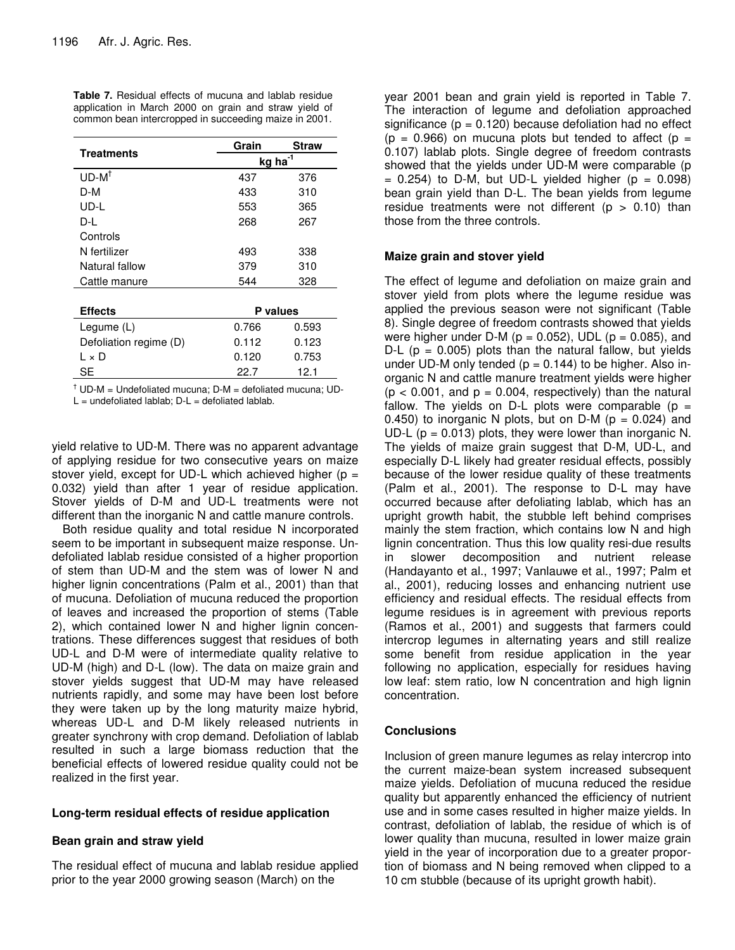|                        | Grain               | Straw |  |  |
|------------------------|---------------------|-------|--|--|
| <b>Treatments</b>      | kg ha <sup>-1</sup> |       |  |  |
| $UD-M^{\dagger}$       | 437                 | 376   |  |  |
| D-M                    | 433                 | 310   |  |  |
| UD-L                   | 553                 | 365   |  |  |
| D-L                    | 268                 | 267   |  |  |
| Controls               |                     |       |  |  |
| N fertilizer           | 493                 | 338   |  |  |
| Natural fallow         | 379                 | 310   |  |  |
| Cattle manure          | 544                 | 328   |  |  |
|                        |                     |       |  |  |
| <b>Effects</b>         | P values            |       |  |  |
| Legume (L)             | 0.766               | 0.593 |  |  |
| Defoliation regime (D) | 0.112               | 0.123 |  |  |
| L × D                  | 0.120               | 0.753 |  |  |
| SE                     | 22.7                | 12.1  |  |  |

**Table 7.** Residual effects of mucuna and lablab residue application in March 2000 on grain and straw yield of common bean intercropped in succeeding maize in 2001.

 $<sup>†</sup>$  UD-M = Undefoliated mucuna; D-M = defoliated mucuna; UD-</sup>

 $L =$  undefoliated lablab;  $D-L =$  defoliated lablab.

yield relative to UD-M. There was no apparent advantage of applying residue for two consecutive years on maize stover yield, except for UD-L which achieved higher ( $p =$ 0.032) yield than after 1 year of residue application. Stover yields of D-M and UD-L treatments were not different than the inorganic N and cattle manure controls.

Both residue quality and total residue N incorporated seem to be important in subsequent maize response. Undefoliated lablab residue consisted of a higher proportion of stem than UD-M and the stem was of lower N and higher lignin concentrations (Palm et al., 2001) than that of mucuna. Defoliation of mucuna reduced the proportion of leaves and increased the proportion of stems (Table 2), which contained lower N and higher lignin concentrations. These differences suggest that residues of both UD-L and D-M were of intermediate quality relative to UD-M (high) and D-L (low). The data on maize grain and stover yields suggest that UD-M may have released nutrients rapidly, and some may have been lost before they were taken up by the long maturity maize hybrid, whereas UD-L and D-M likely released nutrients in greater synchrony with crop demand. Defoliation of lablab resulted in such a large biomass reduction that the beneficial effects of lowered residue quality could not be realized in the first year.

# **Long-term residual effects of residue application**

# **Bean grain and straw yield**

The residual effect of mucuna and lablab residue applied prior to the year 2000 growing season (March) on the

year 2001 bean and grain yield is reported in Table 7. The interaction of legume and defoliation approached significance ( $p = 0.120$ ) because defoliation had no effect ( $p = 0.966$ ) on mucuna plots but tended to affect ( $p =$ 0.107) lablab plots. Single degree of freedom contrasts showed that the yields under UD-M were comparable (p  $= 0.254$ ) to D-M, but UD-L yielded higher (p  $= 0.098$ ) bean grain yield than D-L. The bean yields from legume residue treatments were not different ( $p > 0.10$ ) than those from the three controls.

# **Maize grain and stover yield**

The effect of legume and defoliation on maize grain and stover yield from plots where the legume residue was applied the previous season were not significant (Table 8). Single degree of freedom contrasts showed that yields were higher under D-M ( $p = 0.052$ ), UDL ( $p = 0.085$ ), and D-L ( $p = 0.005$ ) plots than the natural fallow, but yields under UD-M only tended ( $p = 0.144$ ) to be higher. Also inorganic N and cattle manure treatment yields were higher  $(p < 0.001$ , and  $p = 0.004$ , respectively) than the natural fallow. The yields on D-L plots were comparable ( $p =$ 0.450) to inorganic N plots, but on D-M ( $p = 0.024$ ) and UD-L ( $p = 0.013$ ) plots, they were lower than inorganic N. The yields of maize grain suggest that D-M, UD-L, and especially D-L likely had greater residual effects, possibly because of the lower residue quality of these treatments (Palm et al., 2001). The response to D-L may have occurred because after defoliating lablab, which has an upright growth habit, the stubble left behind comprises mainly the stem fraction, which contains low N and high lignin concentration. Thus this low quality resi-due results in slower decomposition and nutrient release (Handayanto et al., 1997; Vanlauwe et al., 1997; Palm et al., 2001), reducing losses and enhancing nutrient use efficiency and residual effects. The residual effects from legume residues is in agreement with previous reports (Ramos et al., 2001) and suggests that farmers could intercrop legumes in alternating years and still realize some benefit from residue application in the year following no application, especially for residues having low leaf: stem ratio, low N concentration and high lignin concentration.

# **Conclusions**

Inclusion of green manure legumes as relay intercrop into the current maize-bean system increased subsequent maize yields. Defoliation of mucuna reduced the residue quality but apparently enhanced the efficiency of nutrient use and in some cases resulted in higher maize yields. In contrast, defoliation of lablab, the residue of which is of lower quality than mucuna, resulted in lower maize grain yield in the year of incorporation due to a greater proportion of biomass and N being removed when clipped to a 10 cm stubble (because of its upright growth habit).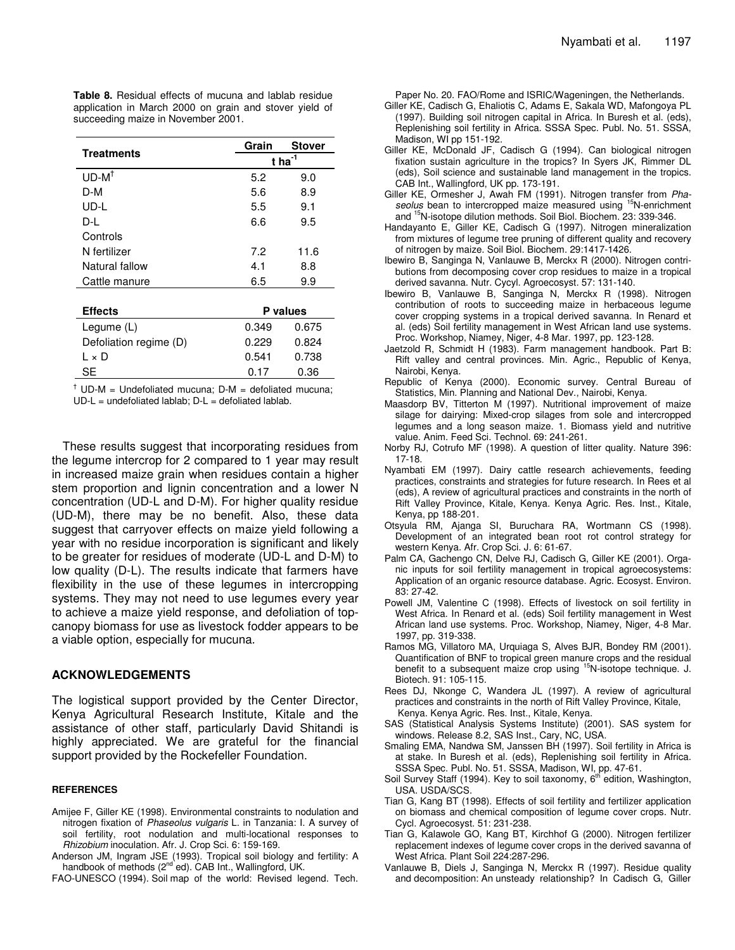**Table 8.** Residual effects of mucuna and lablab residue application in March 2000 on grain and stover yield of succeeding maize in November 2001.

|                        | Grain                | <b>Stover</b> |  |
|------------------------|----------------------|---------------|--|
| <b>Treatments</b>      | $t$ ha <sup>-1</sup> |               |  |
| $UD-M^{\dagger}$       | 5.2                  | 9.0           |  |
| D-M                    | 5.6                  | 8.9           |  |
| UD-L                   | 5.5                  | 9.1           |  |
| D-I                    | 6.6                  | 9.5           |  |
| Controls               |                      |               |  |
| N fertilizer           | 7.2                  | 11.6          |  |
| Natural fallow         | 4.1                  | 8.8           |  |
| Cattle manure          | 6.5                  | 9.9           |  |
|                        |                      |               |  |
| <b>Effects</b>         | P values             |               |  |
| Legume (L)             | 0.349                | 0.675         |  |
| Defoliation regime (D) | 0.229                | 0.824         |  |
| l × D                  | 0.541                | 0.738         |  |
| SE                     | 0.17                 | 0.36          |  |

 $\dagger$  UD-M = Undefoliated mucuna; D-M = defoliated mucuna;  $UD-L =$  undefoliated lablab;  $D-L =$  defoliated lablab.

These results suggest that incorporating residues from the legume intercrop for 2 compared to 1 year may result in increased maize grain when residues contain a higher stem proportion and lignin concentration and a lower N concentration (UD-L and D-M). For higher quality residue (UD-M), there may be no benefit. Also, these data suggest that carryover effects on maize yield following a year with no residue incorporation is significant and likely to be greater for residues of moderate (UD-L and D-M) to low quality (D-L). The results indicate that farmers have flexibility in the use of these legumes in intercropping systems. They may not need to use legumes every year to achieve a maize yield response, and defoliation of topcanopy biomass for use as livestock fodder appears to be a viable option, especially for mucuna.

## **ACKNOWLEDGEMENTS**

The logistical support provided by the Center Director, Kenya Agricultural Research Institute, Kitale and the assistance of other staff, particularly David Shitandi is highly appreciated. We are grateful for the financial support provided by the Rockefeller Foundation.

#### **REFERENCES**

- Amijee F, Giller KE (1998). Environmental constraints to nodulation and nitrogen fixation of *Phaseolus vulgaris* L. in Tanzania: I. A survey of soil fertility, root nodulation and multi-locational responses to *Rhizobium* inoculation. Afr. J. Crop Sci. 6: 159-169.
- Anderson JM, Ingram JSE (1993). Tropical soil biology and fertility: A handbook of methods (2<sup>nd'</sup>ed). CAB Int., Wallingford, UK.

FAO-UNESCO (1994). Soil map of the world: Revised legend. Tech.

Paper No. 20. FAO/Rome and ISRIC/Wageningen, the Netherlands.

- Giller KE, Cadisch G, Ehaliotis C, Adams E, Sakala WD, Mafongoya PL (1997). Building soil nitrogen capital in Africa. In Buresh et al. (eds), Replenishing soil fertility in Africa. SSSA Spec. Publ. No. 51. SSSA, Madison, WI pp 151-192.
- Giller KE, McDonald JF, Cadisch G (1994). Can biological nitrogen fixation sustain agriculture in the tropics? In Syers JK, Rimmer DL (eds), Soil science and sustainable land management in the tropics. CAB Int., Wallingford, UK pp. 173-191.
- Giller KE, Ormesher J, Awah FM (1991). Nitrogen transfer from *Pha*seolus bean to intercropped maize measured using <sup>15</sup>N-enrichment and <sup>15</sup>N-isotope dilution methods. Soil Biol. Biochem. 23: 339-346.
- Handayanto E, Giller KE, Cadisch G (1997). Nitrogen mineralization from mixtures of legume tree pruning of different quality and recovery of nitrogen by maize. Soil Biol. Biochem. 29:1417-1426.
- Ibewiro B, Sanginga N, Vanlauwe B, Merckx R (2000). Nitrogen contributions from decomposing cover crop residues to maize in a tropical derived savanna. Nutr. Cycyl. Agroecosyst. 57: 131-140.
- Ibewiro B, Vanlauwe B, Sanginga N, Merckx R (1998). Nitrogen contribution of roots to succeeding maize in herbaceous legume cover cropping systems in a tropical derived savanna. In Renard et al. (eds) Soil fertility management in West African land use systems. Proc. Workshop, Niamey, Niger, 4-8 Mar. 1997, pp. 123-128.
- Jaetzold R, Schmidt H (1983). Farm management handbook. Part B: Rift valley and central provinces. Min. Agric., Republic of Kenya, Nairobi, Kenya.
- Republic of Kenya (2000). Economic survey. Central Bureau of Statistics, Min. Planning and National Dev., Nairobi, Kenya.
- Maasdorp BV, Titterton M (1997). Nutritional improvement of maize silage for dairying: Mixed-crop silages from sole and intercropped legumes and a long season maize. 1. Biomass yield and nutritive value. Anim. Feed Sci. Technol. 69: 241-261.
- Norby RJ, Cotrufo MF (1998). A question of litter quality. Nature 396: 17-18.
- Nyambati EM (1997). Dairy cattle research achievements, feeding practices, constraints and strategies for future research. In Rees et al (eds), A review of agricultural practices and constraints in the north of Rift Valley Province, Kitale, Kenya. Kenya Agric. Res. Inst., Kitale, Kenya, pp 188-201.
- Otsyula RM, Ajanga SI, Buruchara RA, Wortmann CS (1998). Development of an integrated bean root rot control strategy for western Kenya. Afr. Crop Sci. J. 6: 61-67.
- Palm CA, Gachengo CN, Delve RJ, Cadisch G, Giller KE (2001). Organic inputs for soil fertility management in tropical agroecosystems: Application of an organic resource database. Agric. Ecosyst. Environ. 83: 27-42.
- Powell JM, Valentine C (1998). Effects of livestock on soil fertility in West Africa. In Renard et al. (eds) Soil fertility management in West African land use systems. Proc. Workshop, Niamey, Niger, 4-8 Mar. 1997, pp. 319-338.
- Ramos MG, Villatoro MA, Urquiaga S, Alves BJR, Bondey RM (2001). Quantification of BNF to tropical green manure crops and the residual benefit to a subsequent maize crop using <sup>15</sup>N-isotope technique. J. Biotech. 91: 105-115.
- Rees DJ, Nkonge C, Wandera JL (1997). A review of agricultural practices and constraints in the north of Rift Valley Province, Kitale, Kenya. Kenya Agric. Res. Inst., Kitale, Kenya.
- SAS (Statistical Analysis Systems Institute) (2001). SAS system for windows. Release 8.2, SAS Inst., Cary, NC, USA.
- Smaling EMA, Nandwa SM, Janssen BH (1997). Soil fertility in Africa is at stake. In Buresh et al. (eds), Replenishing soil fertility in Africa. SSSA Spec. Publ. No. 51. SSSA, Madison, WI, pp. 47-61.
- Soil Survey Staff (1994). Key to soil taxonomy, 6<sup>th</sup> edition, Washington, USA. USDA/SCS.
- Tian G, Kang BT (1998). Effects of soil fertility and fertilizer application on biomass and chemical composition of legume cover crops. Nutr. Cycl. Agroecosyst. 51: 231-238.
- Tian G, Kalawole GO, Kang BT, Kirchhof G (2000). Nitrogen fertilizer replacement indexes of legume cover crops in the derived savanna of West Africa. Plant Soil 224:287-296.
- Vanlauwe B, Diels J, Sanginga N, Merckx R (1997). Residue quality and decomposition: An unsteady relationship? In Cadisch G, Giller